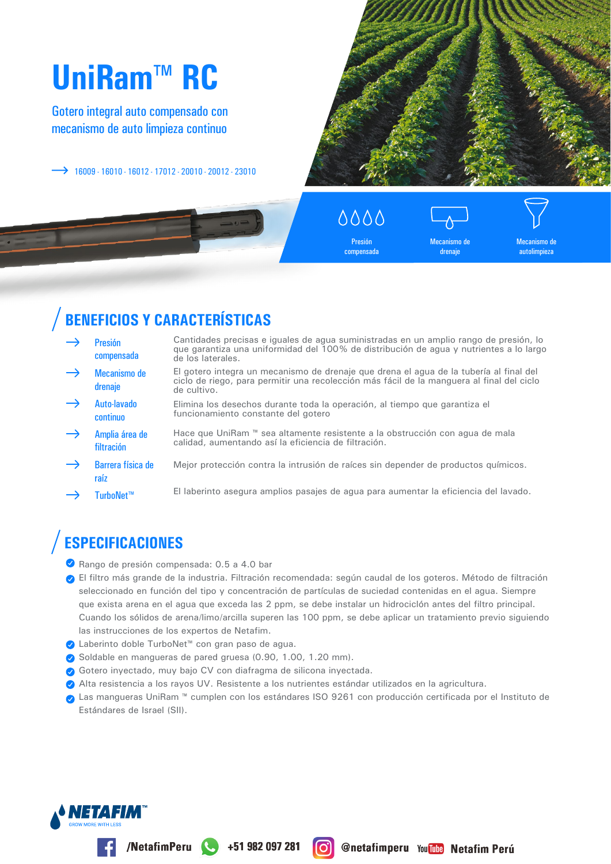# UniRam™ RC

Gotero integral auto compensado con mecanismo de auto limpieza continuo

 $\rightarrow$  16009 · 16010 · 16012 · 17012 · 20010 · 20012 · 23010



 $\triangle$  $\triangle$  $\triangle$  $\triangle$ Presión

compensada

Mecanismo de drenaje

Mecanismo de autolimpieza

## **BENEFICIOS Y CARACTERÍSTICAS**

- Cantidades precisas e iguales de agua suministradas en un amplio rango de presión, lo **Presión** que garantiza una uniformidad del 100% de distribución de agua y nutrientes a lo largo compensada de los laterales. El gotero integra un mecanismo de drenaje que drena el agua de la tubería al final del Mecanismo de ciclo de riego, para permitir una recolección más fácil de la manguera al final del ciclo drenaje de cultivo Auto-lavado Elimina los desechos durante toda la operación, al tiempo que garantiza el funcionamiento constante del gotero continuo Hace que UniRam ™ sea altamente resistente a la obstrucción con agua de mala Amplia área de calidad, aumentando así la eficiencia de filtración. filtración Barrera física de Mejor protección contra la intrusión de raíces sin depender de productos químicos. raíz
- El laberinto asegura amplios pasajes de agua para aumentar la eficiencia del lavado. TurboNet™

## **ESPECIFICACIONES**

- Rango de presión compensada: 0.5 a 4.0 bar
- e El filtro más grande de la industria. Filtración recomendada: según caudal de los goteros. Método de filtración seleccionado en función del tipo y concentración de partículas de suciedad contenidas en el agua. Siempre que exista arena en el agua que exceda las 2 ppm, se debe instalar un hidrociclón antes del filtro principal. Cuando los sólidos de arena/limo/arcilla superen las 100 ppm, se debe aplicar un tratamiento previo siguiendo las instrucciones de los expertos de Netafim.
- O Laberinto doble TurboNet™ con gran paso de agua.
- Soldable en mangueras de pared gruesa (0.90, 1.00, 1.20 mm).

/NetafimPeru +51 982 097 281

- ◆ Gotero inyectado, muy bajo CV con diafragma de silicona inyectada.
- Alta resistencia a los rayos UV. Resistente a los nutrientes estándar utilizados en la agricultura.
- Las mangueras UniRam ™ cumplen con los estándares ISO 9261 con producción certificada por el Instituto de Estándares de Israel (SII).